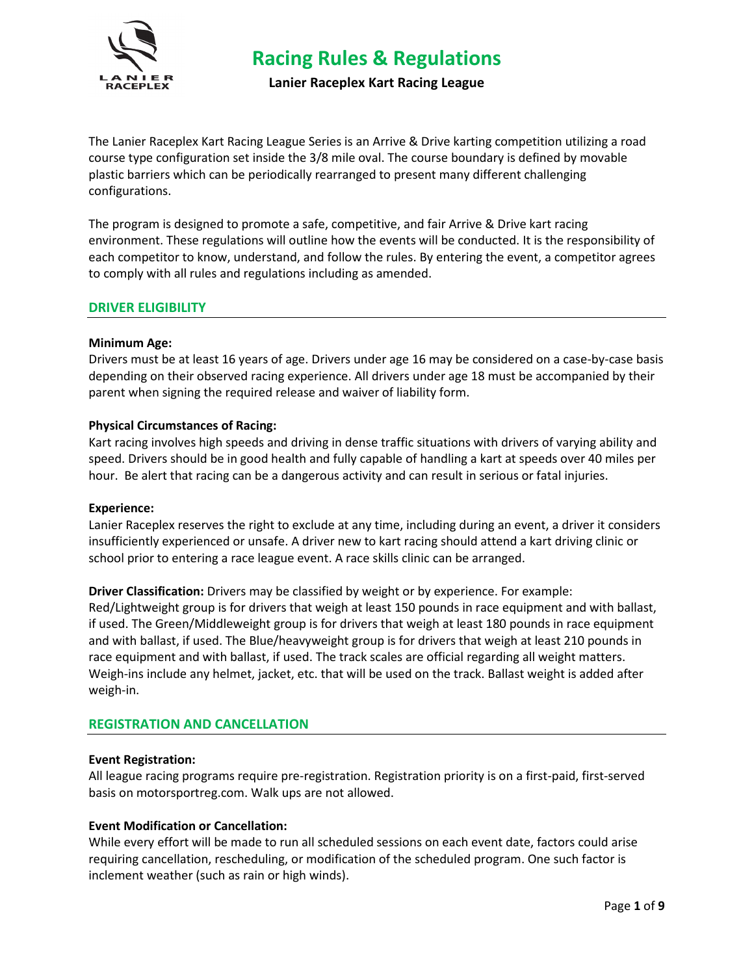

**Lanier Raceplex Kart Racing League**

The Lanier Raceplex Kart Racing League Series is an Arrive & Drive karting competition utilizing a road course type configuration set inside the 3/8 mile oval. The course boundary is defined by movable plastic barriers which can be periodically rearranged to present many different challenging configurations.

The program is designed to promote a safe, competitive, and fair Arrive & Drive kart racing environment. These regulations will outline how the events will be conducted. It is the responsibility of each competitor to know, understand, and follow the rules. By entering the event, a competitor agrees to comply with all rules and regulations including as amended.

# **DRIVER ELIGIBILITY**

### **Minimum Age:**

Drivers must be at least 16 years of age. Drivers under age 16 may be considered on a case-by-case basis depending on their observed racing experience. All drivers under age 18 must be accompanied by their parent when signing the required release and waiver of liability form.

# **Physical Circumstances of Racing:**

Kart racing involves high speeds and driving in dense traffic situations with drivers of varying ability and speed. Drivers should be in good health and fully capable of handling a kart at speeds over 40 miles per hour. Be alert that racing can be a dangerous activity and can result in serious or fatal injuries.

### **Experience:**

Lanier Raceplex reserves the right to exclude at any time, including during an event, a driver it considers insufficiently experienced or unsafe. A driver new to kart racing should attend a kart driving clinic or school prior to entering a race league event. A race skills clinic can be arranged.

**Driver Classification:** Drivers may be classified by weight or by experience. For example: Red/Lightweight group is for drivers that weigh at least 150 pounds in race equipment and with ballast, if used. The Green/Middleweight group is for drivers that weigh at least 180 pounds in race equipment and with ballast, if used. The Blue/heavyweight group is for drivers that weigh at least 210 pounds in race equipment and with ballast, if used. The track scales are official regarding all weight matters. Weigh-ins include any helmet, jacket, etc. that will be used on the track. Ballast weight is added after weigh-in.

# **REGISTRATION AND CANCELLATION**

### **Event Registration:**

All league racing programs require pre-registration. Registration priority is on a first-paid, first-served basis on motorsportreg.com. Walk ups are not allowed.

### **Event Modification or Cancellation:**

While every effort will be made to run all scheduled sessions on each event date, factors could arise requiring cancellation, rescheduling, or modification of the scheduled program. One such factor is inclement weather (such as rain or high winds).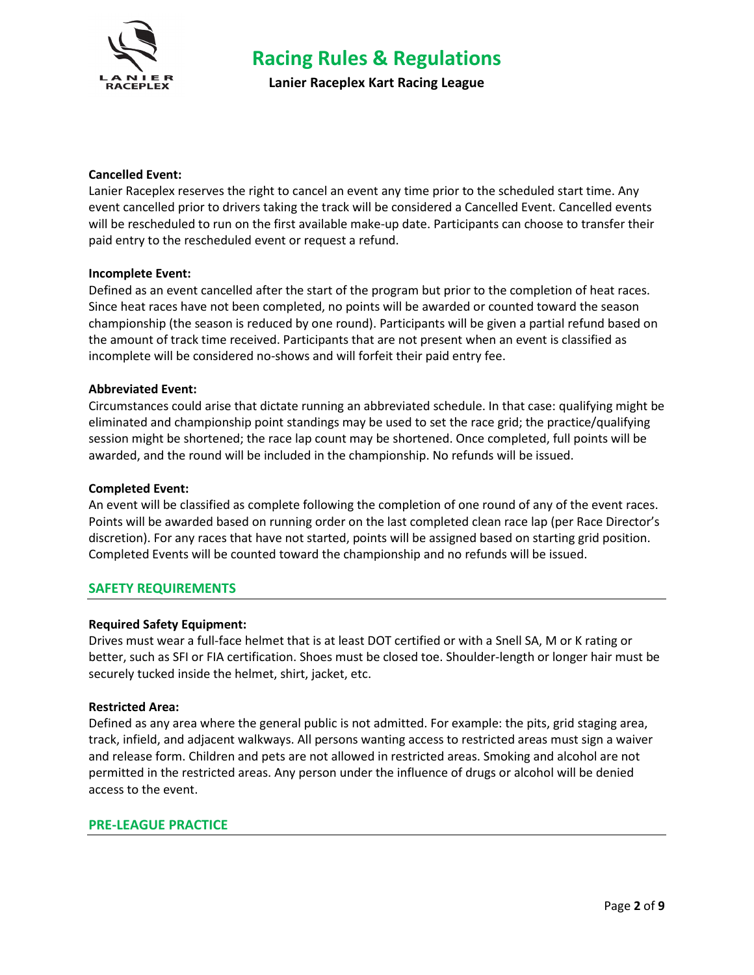

**Lanier Raceplex Kart Racing League**

### **Cancelled Event:**

Lanier Raceplex reserves the right to cancel an event any time prior to the scheduled start time. Any event cancelled prior to drivers taking the track will be considered a Cancelled Event. Cancelled events will be rescheduled to run on the first available make-up date. Participants can choose to transfer their paid entry to the rescheduled event or request a refund.

### **Incomplete Event:**

Defined as an event cancelled after the start of the program but prior to the completion of heat races. Since heat races have not been completed, no points will be awarded or counted toward the season championship (the season is reduced by one round). Participants will be given a partial refund based on the amount of track time received. Participants that are not present when an event is classified as incomplete will be considered no-shows and will forfeit their paid entry fee.

# **Abbreviated Event:**

Circumstances could arise that dictate running an abbreviated schedule. In that case: qualifying might be eliminated and championship point standings may be used to set the race grid; the practice/qualifying session might be shortened; the race lap count may be shortened. Once completed, full points will be awarded, and the round will be included in the championship. No refunds will be issued.

### **Completed Event:**

An event will be classified as complete following the completion of one round of any of the event races. Points will be awarded based on running order on the last completed clean race lap (per Race Director's discretion). For any races that have not started, points will be assigned based on starting grid position. Completed Events will be counted toward the championship and no refunds will be issued.

### **SAFETY REQUIREMENTS**

### **Required Safety Equipment:**

Drives must wear a full-face helmet that is at least DOT certified or with a Snell SA, M or K rating or better, such as SFI or FIA certification. Shoes must be closed toe. Shoulder-length or longer hair must be securely tucked inside the helmet, shirt, jacket, etc.

### **Restricted Area:**

Defined as any area where the general public is not admitted. For example: the pits, grid staging area, track, infield, and adjacent walkways. All persons wanting access to restricted areas must sign a waiver and release form. Children and pets are not allowed in restricted areas. Smoking and alcohol are not permitted in the restricted areas. Any person under the influence of drugs or alcohol will be denied access to the event.

### **PRE-LEAGUE PRACTICE**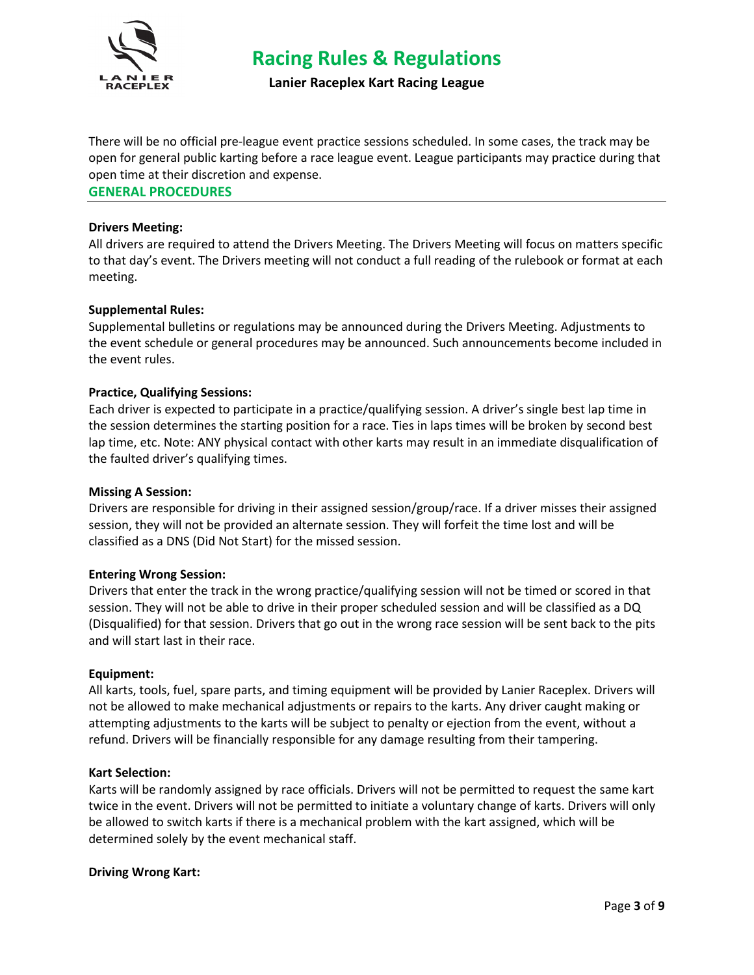

**Lanier Raceplex Kart Racing League**

There will be no official pre-league event practice sessions scheduled. In some cases, the track may be open for general public karting before a race league event. League participants may practice during that open time at their discretion and expense.

**GENERAL PROCEDURES** 

### **Drivers Meeting:**

All drivers are required to attend the Drivers Meeting. The Drivers Meeting will focus on matters specific to that day's event. The Drivers meeting will not conduct a full reading of the rulebook or format at each meeting.

# **Supplemental Rules:**

Supplemental bulletins or regulations may be announced during the Drivers Meeting. Adjustments to the event schedule or general procedures may be announced. Such announcements become included in the event rules.

# **Practice, Qualifying Sessions:**

Each driver is expected to participate in a practice/qualifying session. A driver's single best lap time in the session determines the starting position for a race. Ties in laps times will be broken by second best lap time, etc. Note: ANY physical contact with other karts may result in an immediate disqualification of the faulted driver's qualifying times.

### **Missing A Session:**

Drivers are responsible for driving in their assigned session/group/race. If a driver misses their assigned session, they will not be provided an alternate session. They will forfeit the time lost and will be classified as a DNS (Did Not Start) for the missed session.

### **Entering Wrong Session:**

Drivers that enter the track in the wrong practice/qualifying session will not be timed or scored in that session. They will not be able to drive in their proper scheduled session and will be classified as a DQ (Disqualified) for that session. Drivers that go out in the wrong race session will be sent back to the pits and will start last in their race.

### **Equipment:**

All karts, tools, fuel, spare parts, and timing equipment will be provided by Lanier Raceplex. Drivers will not be allowed to make mechanical adjustments or repairs to the karts. Any driver caught making or attempting adjustments to the karts will be subject to penalty or ejection from the event, without a refund. Drivers will be financially responsible for any damage resulting from their tampering.

### **Kart Selection:**

Karts will be randomly assigned by race officials. Drivers will not be permitted to request the same kart twice in the event. Drivers will not be permitted to initiate a voluntary change of karts. Drivers will only be allowed to switch karts if there is a mechanical problem with the kart assigned, which will be determined solely by the event mechanical staff.

### **Driving Wrong Kart:**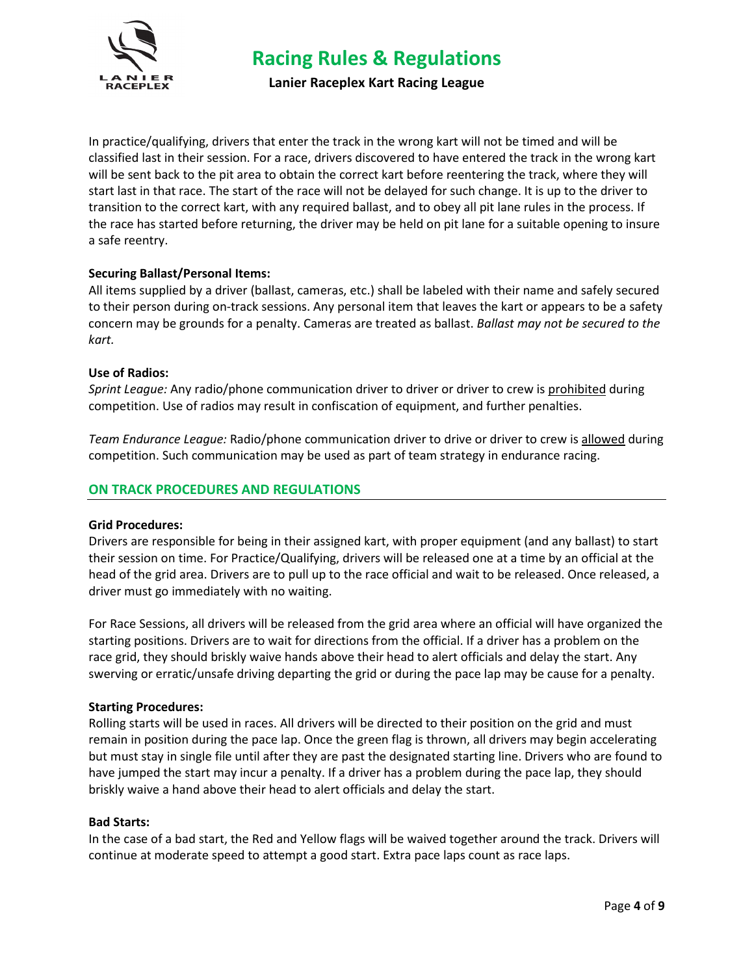

**Lanier Raceplex Kart Racing League**

In practice/qualifying, drivers that enter the track in the wrong kart will not be timed and will be classified last in their session. For a race, drivers discovered to have entered the track in the wrong kart will be sent back to the pit area to obtain the correct kart before reentering the track, where they will start last in that race. The start of the race will not be delayed for such change. It is up to the driver to transition to the correct kart, with any required ballast, and to obey all pit lane rules in the process. If the race has started before returning, the driver may be held on pit lane for a suitable opening to insure a safe reentry.

# **Securing Ballast/Personal Items:**

All items supplied by a driver (ballast, cameras, etc.) shall be labeled with their name and safely secured to their person during on-track sessions. Any personal item that leaves the kart or appears to be a safety concern may be grounds for a penalty. Cameras are treated as ballast. *Ballast may not be secured to the kart.*

### **Use of Radios:**

*Sprint League:* Any radio/phone communication driver to driver or driver to crew is prohibited during competition. Use of radios may result in confiscation of equipment, and further penalties.

*Team Endurance League:* Radio/phone communication driver to drive or driver to crew is allowed during competition. Such communication may be used as part of team strategy in endurance racing.

# **ON TRACK PROCEDURES AND REGULATIONS**

### **Grid Procedures:**

Drivers are responsible for being in their assigned kart, with proper equipment (and any ballast) to start their session on time. For Practice/Qualifying, drivers will be released one at a time by an official at the head of the grid area. Drivers are to pull up to the race official and wait to be released. Once released, a driver must go immediately with no waiting.

For Race Sessions, all drivers will be released from the grid area where an official will have organized the starting positions. Drivers are to wait for directions from the official. If a driver has a problem on the race grid, they should briskly waive hands above their head to alert officials and delay the start. Any swerving or erratic/unsafe driving departing the grid or during the pace lap may be cause for a penalty.

### **Starting Procedures:**

Rolling starts will be used in races. All drivers will be directed to their position on the grid and must remain in position during the pace lap. Once the green flag is thrown, all drivers may begin accelerating but must stay in single file until after they are past the designated starting line. Drivers who are found to have jumped the start may incur a penalty. If a driver has a problem during the pace lap, they should briskly waive a hand above their head to alert officials and delay the start.

### **Bad Starts:**

In the case of a bad start, the Red and Yellow flags will be waived together around the track. Drivers will continue at moderate speed to attempt a good start. Extra pace laps count as race laps.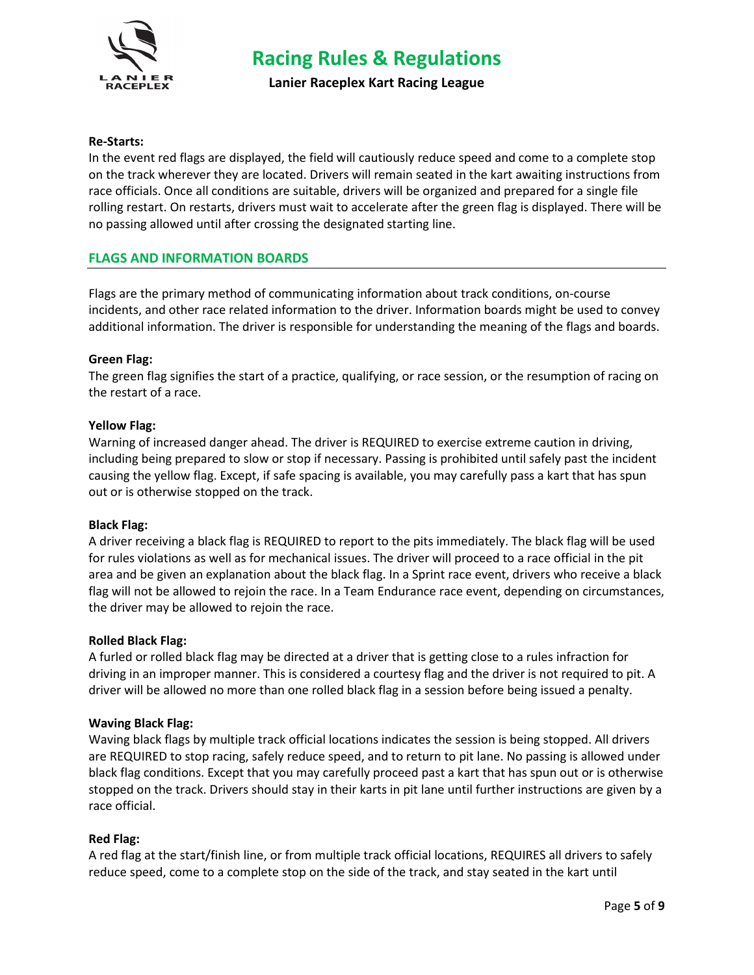

**Lanier Raceplex Kart Racing League**

# **Re-Starts:**

In the event red flags are displayed, the field will cautiously reduce speed and come to a complete stop on the track wherever they are located. Drivers will remain seated in the kart awaiting instructions from race officials. Once all conditions are suitable, drivers will be organized and prepared for a single file rolling restart. On restarts, drivers must wait to accelerate after the green flag is displayed. There will be no passing allowed until after crossing the designated starting line.

# **FLAGS AND INFORMATION BOARDS**

Flags are the primary method of communicating information about track conditions, on-course incidents, and other race related information to the driver. Information boards might be used to convey additional information. The driver is responsible for understanding the meaning of the flags and boards.

### **Green Flag:**

The green flag signifies the start of a practice, qualifying, or race session, or the resumption of racing on the restart of a race.

### **Yellow Flag:**

Warning of increased danger ahead. The driver is REQUIRED to exercise extreme caution in driving, including being prepared to slow or stop if necessary. Passing is prohibited until safely past the incident causing the yellow flag. Except, if safe spacing is available, you may carefully pass a kart that has spun out or is otherwise stopped on the track.

### **Black Flag:**

A driver receiving a black flag is REQUIRED to report to the pits immediately. The black flag will be used for rules violations as well as for mechanical issues. The driver will proceed to a race official in the pit area and be given an explanation about the black flag. In a Sprint race event, drivers who receive a black flag will not be allowed to rejoin the race. In a Team Endurance race event, depending on circumstances, the driver may be allowed to rejoin the race.

### **Rolled Black Flag:**

A furled or rolled black flag may be directed at a driver that is getting close to a rules infraction for driving in an improper manner. This is considered a courtesy flag and the driver is not required to pit. A driver will be allowed no more than one rolled black flag in a session before being issued a penalty.

### **Waving Black Flag:**

Waving black flags by multiple track official locations indicates the session is being stopped. All drivers are REQUIRED to stop racing, safely reduce speed, and to return to pit lane. No passing is allowed under black flag conditions. Except that you may carefully proceed past a kart that has spun out or is otherwise stopped on the track. Drivers should stay in their karts in pit lane until further instructions are given by a race official.

### **Red Flag:**

A red flag at the start/finish line, or from multiple track official locations, REQUIRES all drivers to safely reduce speed, come to a complete stop on the side of the track, and stay seated in the kart until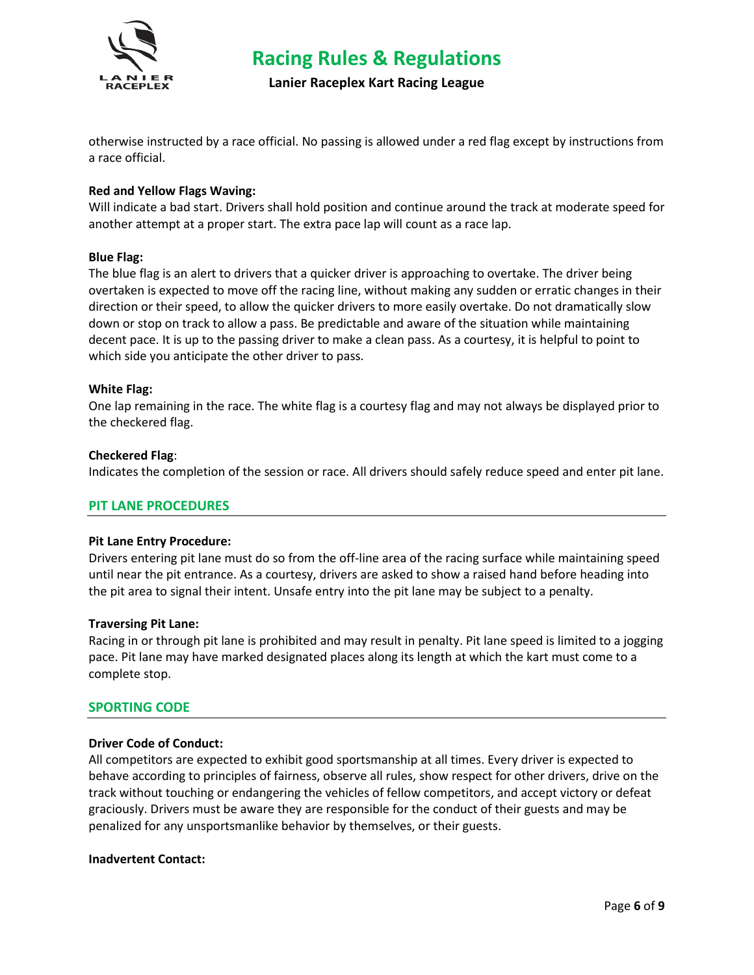

**Lanier Raceplex Kart Racing League**

otherwise instructed by a race official. No passing is allowed under a red flag except by instructions from a race official.

# **Red and Yellow Flags Waving:**

Will indicate a bad start. Drivers shall hold position and continue around the track at moderate speed for another attempt at a proper start. The extra pace lap will count as a race lap.

### **Blue Flag:**

The blue flag is an alert to drivers that a quicker driver is approaching to overtake. The driver being overtaken is expected to move off the racing line, without making any sudden or erratic changes in their direction or their speed, to allow the quicker drivers to more easily overtake. Do not dramatically slow down or stop on track to allow a pass. Be predictable and aware of the situation while maintaining decent pace. It is up to the passing driver to make a clean pass. As a courtesy, it is helpful to point to which side you anticipate the other driver to pass.

#### **White Flag:**

One lap remaining in the race. The white flag is a courtesy flag and may not always be displayed prior to the checkered flag.

#### **Checkered Flag**:

Indicates the completion of the session or race. All drivers should safely reduce speed and enter pit lane.

#### **PIT LANE PROCEDURES**

#### **Pit Lane Entry Procedure:**

Drivers entering pit lane must do so from the off-line area of the racing surface while maintaining speed until near the pit entrance. As a courtesy, drivers are asked to show a raised hand before heading into the pit area to signal their intent. Unsafe entry into the pit lane may be subject to a penalty.

#### **Traversing Pit Lane:**

Racing in or through pit lane is prohibited and may result in penalty. Pit lane speed is limited to a jogging pace. Pit lane may have marked designated places along its length at which the kart must come to a complete stop.

### **SPORTING CODE**

### **Driver Code of Conduct:**

All competitors are expected to exhibit good sportsmanship at all times. Every driver is expected to behave according to principles of fairness, observe all rules, show respect for other drivers, drive on the track without touching or endangering the vehicles of fellow competitors, and accept victory or defeat graciously. Drivers must be aware they are responsible for the conduct of their guests and may be penalized for any unsportsmanlike behavior by themselves, or their guests.

#### **Inadvertent Contact:**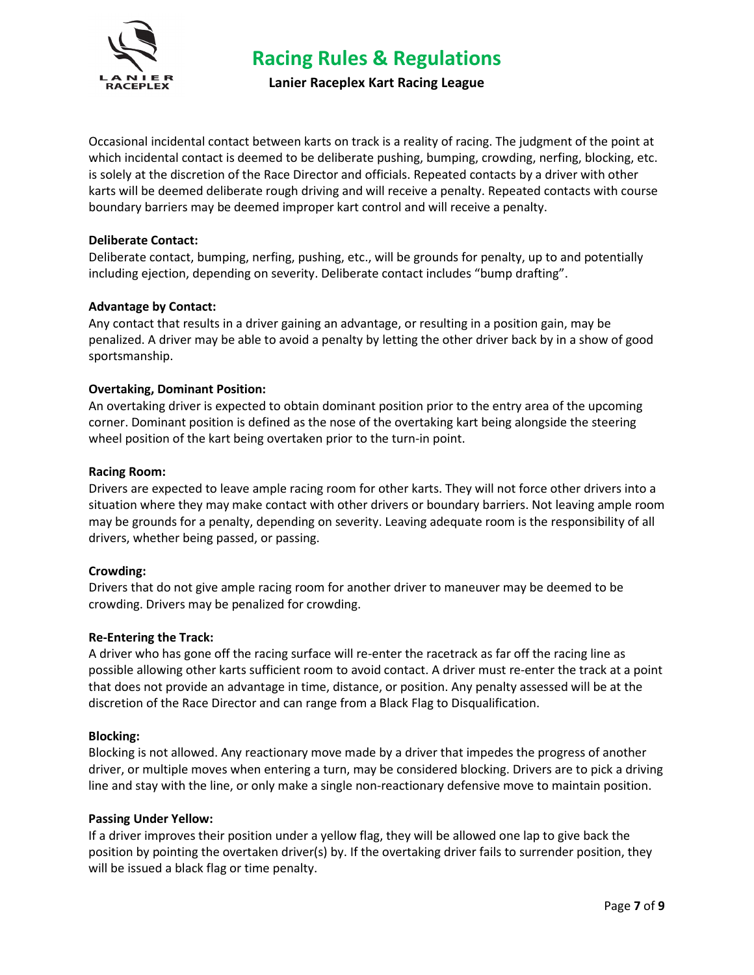

**Lanier Raceplex Kart Racing League**

Occasional incidental contact between karts on track is a reality of racing. The judgment of the point at which incidental contact is deemed to be deliberate pushing, bumping, crowding, nerfing, blocking, etc. is solely at the discretion of the Race Director and officials. Repeated contacts by a driver with other karts will be deemed deliberate rough driving and will receive a penalty. Repeated contacts with course boundary barriers may be deemed improper kart control and will receive a penalty.

# **Deliberate Contact:**

Deliberate contact, bumping, nerfing, pushing, etc., will be grounds for penalty, up to and potentially including ejection, depending on severity. Deliberate contact includes "bump drafting".

# **Advantage by Contact:**

Any contact that results in a driver gaining an advantage, or resulting in a position gain, may be penalized. A driver may be able to avoid a penalty by letting the other driver back by in a show of good sportsmanship.

# **Overtaking, Dominant Position:**

An overtaking driver is expected to obtain dominant position prior to the entry area of the upcoming corner. Dominant position is defined as the nose of the overtaking kart being alongside the steering wheel position of the kart being overtaken prior to the turn-in point.

### **Racing Room:**

Drivers are expected to leave ample racing room for other karts. They will not force other drivers into a situation where they may make contact with other drivers or boundary barriers. Not leaving ample room may be grounds for a penalty, depending on severity. Leaving adequate room is the responsibility of all drivers, whether being passed, or passing.

### **Crowding:**

Drivers that do not give ample racing room for another driver to maneuver may be deemed to be crowding. Drivers may be penalized for crowding.

### **Re-Entering the Track:**

A driver who has gone off the racing surface will re-enter the racetrack as far off the racing line as possible allowing other karts sufficient room to avoid contact. A driver must re-enter the track at a point that does not provide an advantage in time, distance, or position. Any penalty assessed will be at the discretion of the Race Director and can range from a Black Flag to Disqualification.

### **Blocking:**

Blocking is not allowed. Any reactionary move made by a driver that impedes the progress of another driver, or multiple moves when entering a turn, may be considered blocking. Drivers are to pick a driving line and stay with the line, or only make a single non-reactionary defensive move to maintain position.

### **Passing Under Yellow:**

If a driver improves their position under a yellow flag, they will be allowed one lap to give back the position by pointing the overtaken driver(s) by. If the overtaking driver fails to surrender position, they will be issued a black flag or time penalty.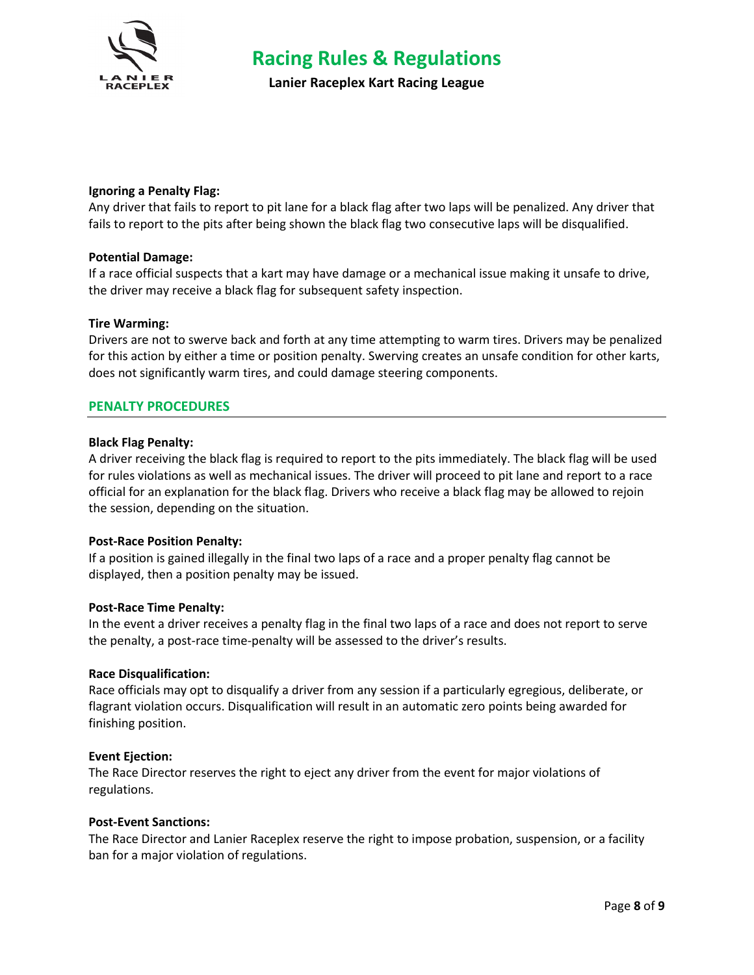

**Lanier Raceplex Kart Racing League**

### **Ignoring a Penalty Flag:**

Any driver that fails to report to pit lane for a black flag after two laps will be penalized. Any driver that fails to report to the pits after being shown the black flag two consecutive laps will be disqualified.

# **Potential Damage:**

If a race official suspects that a kart may have damage or a mechanical issue making it unsafe to drive, the driver may receive a black flag for subsequent safety inspection.

### **Tire Warming:**

Drivers are not to swerve back and forth at any time attempting to warm tires. Drivers may be penalized for this action by either a time or position penalty. Swerving creates an unsafe condition for other karts, does not significantly warm tires, and could damage steering components.

# **PENALTY PROCEDURES**

### **Black Flag Penalty:**

A driver receiving the black flag is required to report to the pits immediately. The black flag will be used for rules violations as well as mechanical issues. The driver will proceed to pit lane and report to a race official for an explanation for the black flag. Drivers who receive a black flag may be allowed to rejoin the session, depending on the situation.

### **Post-Race Position Penalty:**

If a position is gained illegally in the final two laps of a race and a proper penalty flag cannot be displayed, then a position penalty may be issued.

### **Post-Race Time Penalty:**

In the event a driver receives a penalty flag in the final two laps of a race and does not report to serve the penalty, a post-race time-penalty will be assessed to the driver's results.

### **Race Disqualification:**

Race officials may opt to disqualify a driver from any session if a particularly egregious, deliberate, or flagrant violation occurs. Disqualification will result in an automatic zero points being awarded for finishing position.

### **Event Ejection:**

The Race Director reserves the right to eject any driver from the event for major violations of regulations.

### **Post-Event Sanctions:**

The Race Director and Lanier Raceplex reserve the right to impose probation, suspension, or a facility ban for a major violation of regulations.